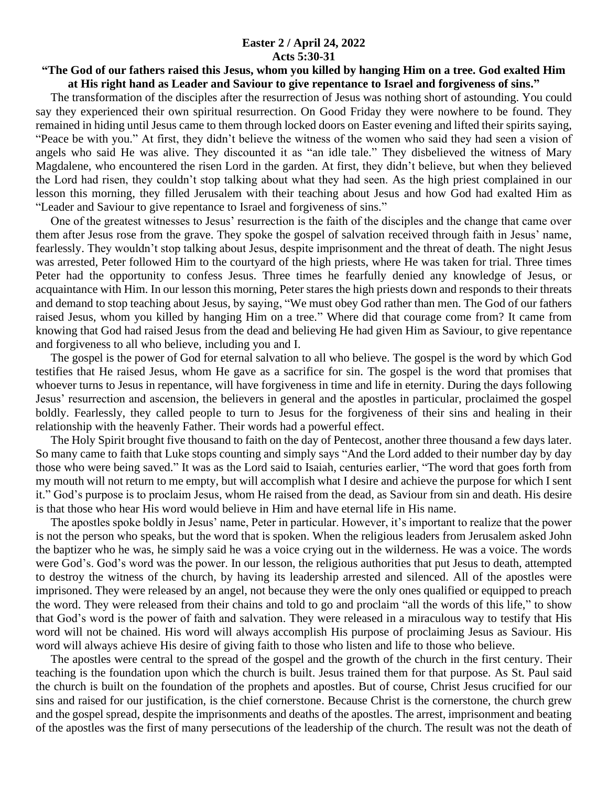## **Easter 2 / April 24, 2022 Acts 5:30-31**

## **"The God of our fathers raised this Jesus, whom you killed by hanging Him on a tree. God exalted Him at His right hand as Leader and Saviour to give repentance to Israel and forgiveness of sins."**

 The transformation of the disciples after the resurrection of Jesus was nothing short of astounding. You could say they experienced their own spiritual resurrection. On Good Friday they were nowhere to be found. They remained in hiding until Jesus came to them through locked doors on Easter evening and lifted their spirits saying, "Peace be with you." At first, they didn't believe the witness of the women who said they had seen a vision of angels who said He was alive. They discounted it as "an idle tale." They disbelieved the witness of Mary Magdalene, who encountered the risen Lord in the garden. At first, they didn't believe, but when they believed the Lord had risen, they couldn't stop talking about what they had seen. As the high priest complained in our lesson this morning, they filled Jerusalem with their teaching about Jesus and how God had exalted Him as "Leader and Saviour to give repentance to Israel and forgiveness of sins."

 One of the greatest witnesses to Jesus' resurrection is the faith of the disciples and the change that came over them after Jesus rose from the grave. They spoke the gospel of salvation received through faith in Jesus' name, fearlessly. They wouldn't stop talking about Jesus, despite imprisonment and the threat of death. The night Jesus was arrested, Peter followed Him to the courtyard of the high priests, where He was taken for trial. Three times Peter had the opportunity to confess Jesus. Three times he fearfully denied any knowledge of Jesus, or acquaintance with Him. In our lesson this morning, Peter stares the high priests down and responds to their threats and demand to stop teaching about Jesus, by saying, "We must obey God rather than men. The God of our fathers raised Jesus, whom you killed by hanging Him on a tree." Where did that courage come from? It came from knowing that God had raised Jesus from the dead and believing He had given Him as Saviour, to give repentance and forgiveness to all who believe, including you and I.

 The gospel is the power of God for eternal salvation to all who believe. The gospel is the word by which God testifies that He raised Jesus, whom He gave as a sacrifice for sin. The gospel is the word that promises that whoever turns to Jesus in repentance, will have forgiveness in time and life in eternity. During the days following Jesus' resurrection and ascension, the believers in general and the apostles in particular, proclaimed the gospel boldly. Fearlessly, they called people to turn to Jesus for the forgiveness of their sins and healing in their relationship with the heavenly Father. Their words had a powerful effect.

 The Holy Spirit brought five thousand to faith on the day of Pentecost, another three thousand a few days later. So many came to faith that Luke stops counting and simply says "And the Lord added to their number day by day those who were being saved." It was as the Lord said to Isaiah, centuries earlier, "The word that goes forth from my mouth will not return to me empty, but will accomplish what I desire and achieve the purpose for which I sent it." God's purpose is to proclaim Jesus, whom He raised from the dead, as Saviour from sin and death. His desire is that those who hear His word would believe in Him and have eternal life in His name.

 The apostles spoke boldly in Jesus' name, Peter in particular. However, it's important to realize that the power is not the person who speaks, but the word that is spoken. When the religious leaders from Jerusalem asked John the baptizer who he was, he simply said he was a voice crying out in the wilderness. He was a voice. The words were God's. God's word was the power. In our lesson, the religious authorities that put Jesus to death, attempted to destroy the witness of the church, by having its leadership arrested and silenced. All of the apostles were imprisoned. They were released by an angel, not because they were the only ones qualified or equipped to preach the word. They were released from their chains and told to go and proclaim "all the words of this life," to show that God's word is the power of faith and salvation. They were released in a miraculous way to testify that His word will not be chained. His word will always accomplish His purpose of proclaiming Jesus as Saviour. His word will always achieve His desire of giving faith to those who listen and life to those who believe.

 The apostles were central to the spread of the gospel and the growth of the church in the first century. Their teaching is the foundation upon which the church is built. Jesus trained them for that purpose. As St. Paul said the church is built on the foundation of the prophets and apostles. But of course, Christ Jesus crucified for our sins and raised for our justification, is the chief cornerstone. Because Christ is the cornerstone, the church grew and the gospel spread, despite the imprisonments and deaths of the apostles. The arrest, imprisonment and beating of the apostles was the first of many persecutions of the leadership of the church. The result was not the death of